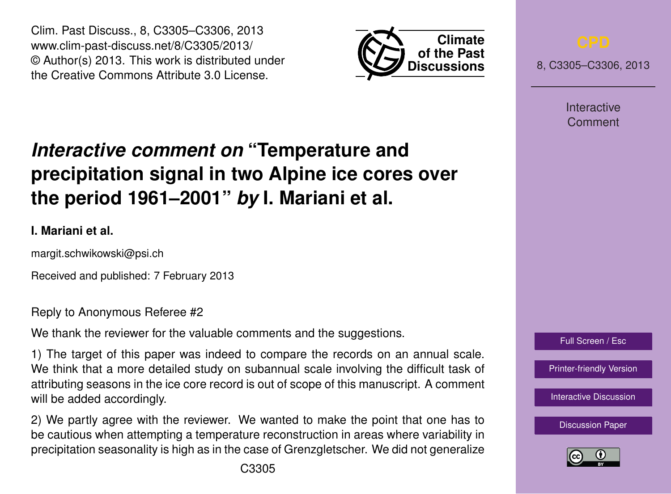Clim. Past Discuss., 8, C3305–C3306, 2013 www.clim-past-discuss.net/8/C3305/2013/ © Author(s) 2013. This work is distributed under the Creative Commons Attribute 3.0 License.



8, C3305–C3306, 2013

**Interactive** Comment

## *Interactive comment on* **"Temperature and precipitation signal in two Alpine ice cores over the period 1961–2001"** *by* **I. Mariani et al.**

## **I. Mariani et al.**

margit.schwikowski@psi.ch

Received and published: 7 February 2013

Reply to Anonymous Referee #2

We thank the reviewer for the valuable comments and the suggestions.

1) The target of this paper was indeed to compare the records on an annual scale. We think that a more detailed study on subannual scale involving the difficult task of attributing seasons in the ice core record is out of scope of this manuscript. A comment will be added accordingly.

2) We partly agree with the reviewer. We wanted to make the point that one has to be cautious when attempting a temperature reconstruction in areas where variability in precipitation seasonality is high as in the case of Grenzgletscher. We did not generalize



Full Screen / Esc

[Printer-friendly Version](http://www.clim-past-discuss.net/8/C3305/2013/cpd-8-C3305-2013-print.pdf)

[Interactive Discussion](http://www.clim-past-discuss.net/8/5867/2012/cpd-8-5867-2012-discussion.html)

[Discussion Paper](http://www.clim-past-discuss.net/8/5867/2012/cpd-8-5867-2012.pdf)